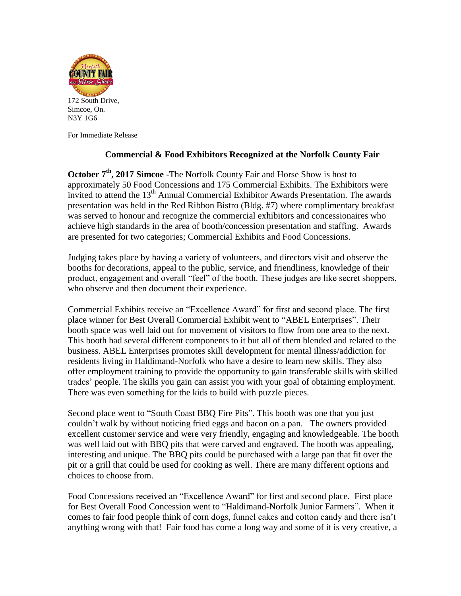

For Immediate Release

## **Commercial & Food Exhibitors Recognized at the Norfolk County Fair**

**October 7<sup>th</sup>**, 2017 Simcoe -The Norfolk County Fair and Horse Show is host to approximately 50 Food Concessions and 175 Commercial Exhibits. The Exhibitors were invited to attend the 13<sup>th</sup> Annual Commercial Exhibitor Awards Presentation. The awards presentation was held in the Red Ribbon Bistro (Bldg. #7) where complimentary breakfast was served to honour and recognize the commercial exhibitors and concessionaires who achieve high standards in the area of booth/concession presentation and staffing. Awards are presented for two categories; Commercial Exhibits and Food Concessions.

Judging takes place by having a variety of volunteers, and directors visit and observe the booths for decorations, appeal to the public, service, and friendliness, knowledge of their product, engagement and overall "feel" of the booth. These judges are like secret shoppers, who observe and then document their experience.

Commercial Exhibits receive an "Excellence Award" for first and second place. The first place winner for Best Overall Commercial Exhibit went to "ABEL Enterprises". Their booth space was well laid out for movement of visitors to flow from one area to the next. This booth had several different components to it but all of them blended and related to the business. ABEL Enterprises promotes skill development for mental illness/addiction for residents living in Haldimand-Norfolk who have a desire to learn new skills. They also offer employment training to provide the opportunity to gain transferable skills with skilled trades' people. The skills you gain can assist you with your goal of obtaining employment. There was even something for the kids to build with puzzle pieces.

Second place went to "South Coast BBQ Fire Pits". This booth was one that you just couldn't walk by without noticing fried eggs and bacon on a pan. The owners provided excellent customer service and were very friendly, engaging and knowledgeable. The booth was well laid out with BBQ pits that were carved and engraved. The booth was appealing, interesting and unique. The BBQ pits could be purchased with a large pan that fit over the pit or a grill that could be used for cooking as well. There are many different options and choices to choose from.

Food Concessions received an "Excellence Award" for first and second place. First place for Best Overall Food Concession went to "Haldimand-Norfolk Junior Farmers". When it comes to fair food people think of corn dogs, funnel cakes and cotton candy and there isn't anything wrong with that! Fair food has come a long way and some of it is very creative, a